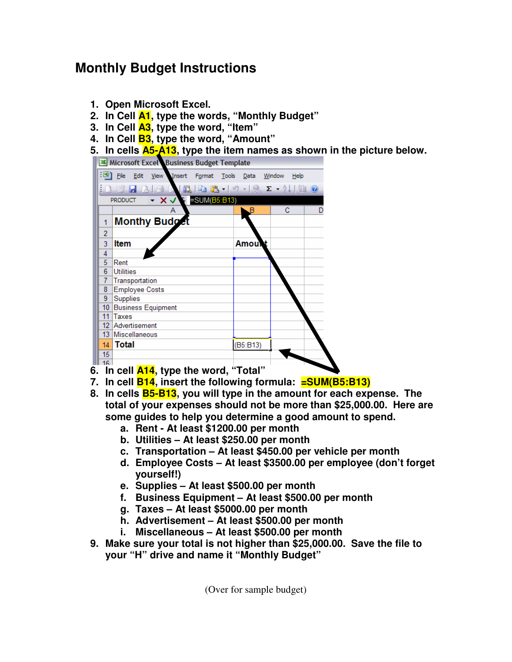## **Monthly Budget Instructions**

- **1. Open Microsoft Excel.**
- **2. In Cell A1, type the words, "Monthly Budget"**
- **3. In Cell A3, type the word, "Item"**
- **4. In Cell B3, type the word, "Amount"**
- **5. In cells A5-A13, type the item names as shown in the picture below.**



- **7. In cell B14, insert the following formula: =SUM(B5:B13)**
- **8. In cells B5-B13, you will type in the amount for each expense. The total of your expenses should not be more than \$25,000.00. Here are some guides to help you determine a good amount to spend.** 
	- **a. Rent At least \$1200.00 per month**
	- **b. Utilities At least \$250.00 per month**
	- **c. Transportation At least \$450.00 per vehicle per month**
	- **d. Employee Costs At least \$3500.00 per employee (don't forget yourself!)**
	- **e. Supplies At least \$500.00 per month**
	- **f. Business Equipment At least \$500.00 per month**
	- **g. Taxes At least \$5000.00 per month**
	- **h. Advertisement At least \$500.00 per month**
	- **i. Miscellaneous At least \$500.00 per month**
- **9. Make sure your total is not higher than \$25,000.00. Save the file to your "H" drive and name it "Monthly Budget"**

(Over for sample budget)